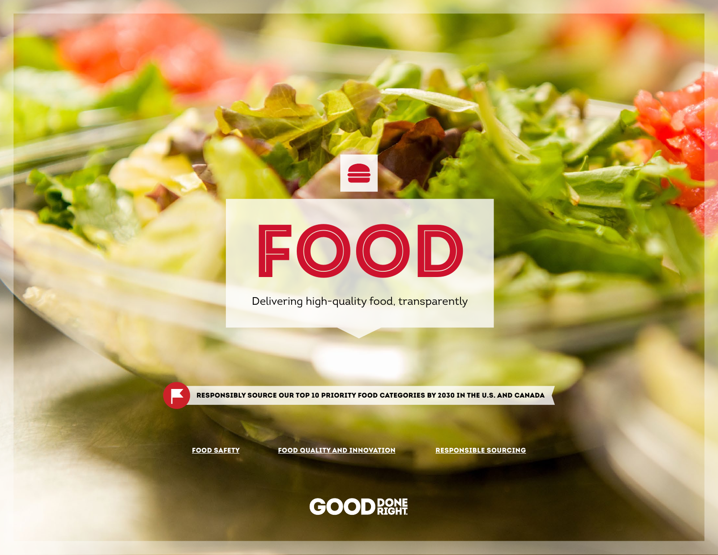# FOOD

Delivering high-quality food, transparently

RESPONSIBLY SOURCE OUR TOP 10 PRIORITY FOOD CATEGORIES BY 2030 IN THE U.S. AND CANADA

[FOOD SAFETY](#page-1-0) [FOOD QUALITY AND INNOVATION](#page-3-0) [RESPONSIBLE SOURCING](#page-4-0)

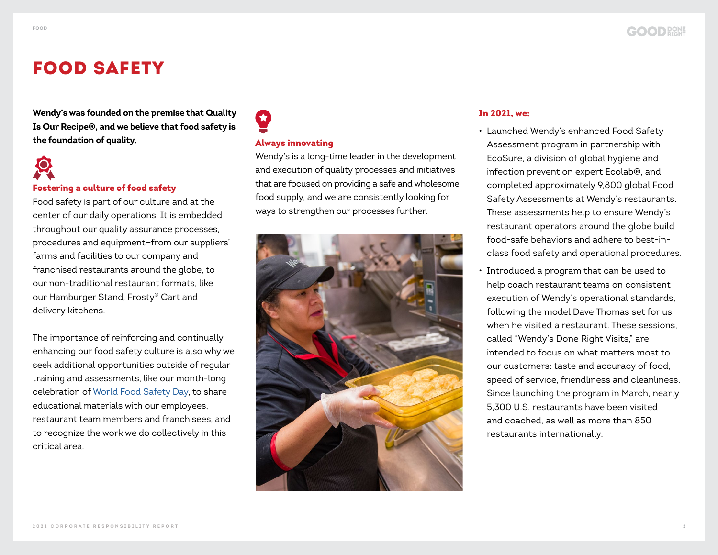### <span id="page-1-0"></span>FOOD SAFETY

**Wendy's was founded on the premise that Quality Is Our Recipe®, and we believe that food safety is the foundation of quality.**

# Fostering a culture of food safety

Food safety is part of our culture and at the center of our daily operations. It is embedded throughout our quality assurance processes, procedures and equipment—from our suppliers' farms and facilities to our company and franchised restaurants around the globe, to our non-traditional restaurant formats, like our Hamburger Stand, Frosty® Cart and delivery kitchens.

The importance of reinforcing and continually enhancing our food safety culture is also why we seek additional opportunities outside of regular training and assessments, like our month-long celebration of [World Food Safety Day,](https://www.squaredealblog.com/homewendys/food-safety-is-the-first-ingredient-at-wendys) to share educational materials with our employees, restaurant team members and franchisees, and to recognize the work we do collectively in this critical area.

### Always innovating

Wendy's is a long-time leader in the development and execution of quality processes and initiatives that are focused on providing a safe and wholesome food supply, and we are consistently looking for ways to strengthen our processes further.



### In 2021, we:

- Launched Wendy's enhanced Food Safety Assessment program in partnership with EcoSure, a division of global hygiene and infection prevention expert Ecolab®, and completed approximately 9,800 global Food Safety Assessments at Wendy's restaurants. These assessments help to ensure Wendy's restaurant operators around the globe build food-safe behaviors and adhere to best-inclass food safety and operational procedures.
- Introduced a program that can be used to help coach restaurant teams on consistent execution of Wendy's operational standards, following the model Dave Thomas set for us when he visited a restaurant. These sessions called "Wendy's Done Right Visits," are intended to focus on what matters most to our customers: taste and accuracy of food, speed of service, friendliness and cleanliness. Since launching the program in March, nearly 5,300 U.S. restaurants have been visited and coached, as well as more than 850 restaurants internationally.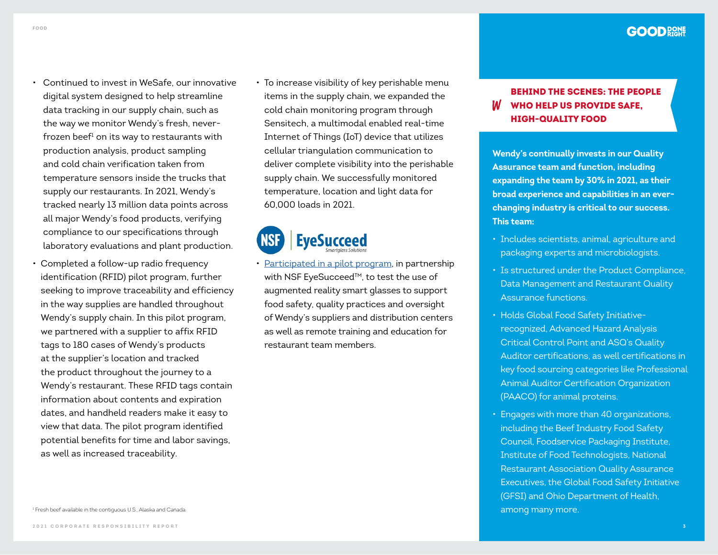- Continued to invest in WeSafe, our innovative digital system designed to help streamline data tracking in our supply chain, such as the way we monitor Wendy's fresh, neverfrozen beef $^1$  on its way to restaurants with production analysis, product sampling and cold chain verification taken from temperature sensors inside the trucks that supply our restaurants. In 2021, Wendy's tracked nearly 13 million data points across all major Wendy's food products, verifying compliance to our specifications through laboratory evaluations and plant production.
- Completed a follow-up radio frequency identification (RFID) pilot program, further seeking to improve traceability and efficiency in the way supplies are handled throughout Wendy's supply chain. In this pilot program, we partnered with a supplier to affix RFID tags to 180 cases of Wendy's products at the supplier's location and tracked the product throughout the journey to a Wendy's restaurant. These RFID tags contain information about contents and expiration dates, and handheld readers make it easy to view that data. The pilot program identified potential benefits for time and labor savings, as well as increased traceability.
- To increase visibility of key perishable menu items in the supply chain, we expanded the cold chain monitoring program through Sensitech, a multimodal enabled real-time Internet of Things (IoT) device that utilizes cellular triangulation communication to deliver complete visibility into the perishable supply chain. We successfully monitored temperature, location and light data for 60,000 loads in 2021.



• [Participated in a pilot program,](https://www.nsf.org/knowledge-library/eyesucceed-provides-wendys-ai-technology-food-safety-supplier-oversight) in partnership with NSF EyeSucceed™, to test the use of augmented reality smart glasses to support food safety, quality practices and oversight of Wendy's suppliers and distribution centers as well as remote training and education for restaurant team members.

### BEHIND THE SCENES: THE PEOPLE WHO HELP US PROVIDE SAFE, HIGH-QUALITY FOOD

**Wendy's continually invests in our Quality Assurance team and function, including expanding the team by 30% in 2021, as their broad experience and capabilities in an everchanging industry is critical to our success. This team:** 

- Includes scientists, animal, agriculture and packaging experts and microbiologists.
- Is structured under the Product Compliance, Data Management and Restaurant Quality Assurance functions.
- Holds Global Food Safety Initiativerecognized, Advanced Hazard Analysis Critical Control Point and ASQ's Quality Auditor certifications, as well certifications in key food sourcing categories like Professional Animal Auditor Certification Organization (PAACO) for animal proteins.
- Engages with more than 40 organizations, including the Beef Industry Food Safety Council, Foodservice Packaging Institute, Institute of Food Technologists, National Restaurant Association Quality Assurance Executives, the Global Food Safety Initiative (GFSI) and Ohio Department of Health,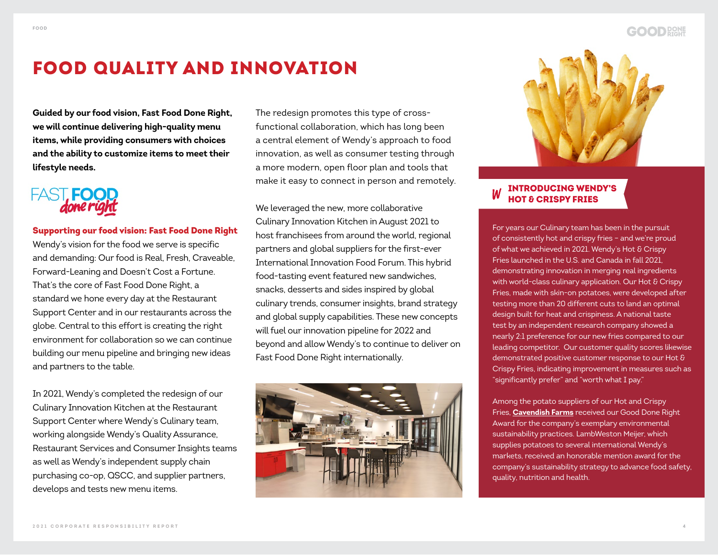### <span id="page-3-0"></span>FOOD QUALITY AND INNOVATION

**Guided by our food vision, Fast Food Done Right, we will continue delivering high-quality menu items, while providing consumers with choices and the ability to customize items to meet their lifestyle needs.** 

## FAST, FOO

### Supporting our food vision: Fast Food Done Right

Wendy's vision for the food we serve is specific and demanding: Our food is Real, Fresh, Craveable, Forward-Leaning and Doesn't Cost a Fortune. That's the core of Fast Food Done Right, a standard we hone every day at the Restaurant Support Center and in our restaurants across the globe. Central to this effort is creating the right environment for collaboration so we can continue building our menu pipeline and bringing new ideas and partners to the table.

In 2021, Wendy's completed the redesign of our Culinary Innovation Kitchen at the Restaurant Support Center where Wendy's Culinary team, working alongside Wendy's Quality Assurance, Restaurant Services and Consumer Insights teams as well as Wendy's independent supply chain purchasing co-op, QSCC, and supplier partners, develops and tests new menu items.

The redesign promotes this type of crossfunctional collaboration, which has long been a central element of Wendy's approach to food innovation, as well as consumer testing through a more modern, open floor plan and tools that make it easy to connect in person and remotely.

We leveraged the new, more collaborative Culinary Innovation Kitchen in August 2021 to host franchisees from around the world, regional partners and global suppliers for the first-ever International Innovation Food Forum. This hybrid food-tasting event featured new sandwiches, snacks, desserts and sides inspired by global culinary trends, consumer insights, brand strategy and global supply capabilities. These new concepts will fuel our innovation pipeline for 2022 and beyond and allow Wendy's to continue to deliver on Fast Food Done Right internationally.





### INTRODUCING WENDY'S HOT & CRISPY FRIES

For years our Culinary team has been in the pursuit of consistently hot and crispy fries – and we're proud of what we achieved in 2021. Wendy's Hot & Crispy Fries launched in the U.S. and Canada in fall 2021, demonstrating innovation in merging real ingredients with world-class culinary application. Our Hot & Crispy Fries, made with skin-on potatoes, were developed after testing more than 20 different cuts to land an optimal design built for heat and crispiness. A national taste test by an independent research company showed a nearly 2:1 preference for our new fries compared to our leading competitor. Our customer quality scores likewise demonstrated positive customer response to our Hot & Crispy Fries, indicating improvement in measures such as "significantly prefer" and "worth what I pay."

Among the potato suppliers of our Hot and Crispy Fries, **[Cavendish Farms](#page-8-0)** received our Good Done Right Award for the company's exemplary environmental sustainability practices. LambWeston Meijer, which supplies potatoes to several international Wendy's markets, received an honorable mention award for the company's sustainability strategy to advance food safety, quality, nutrition and health.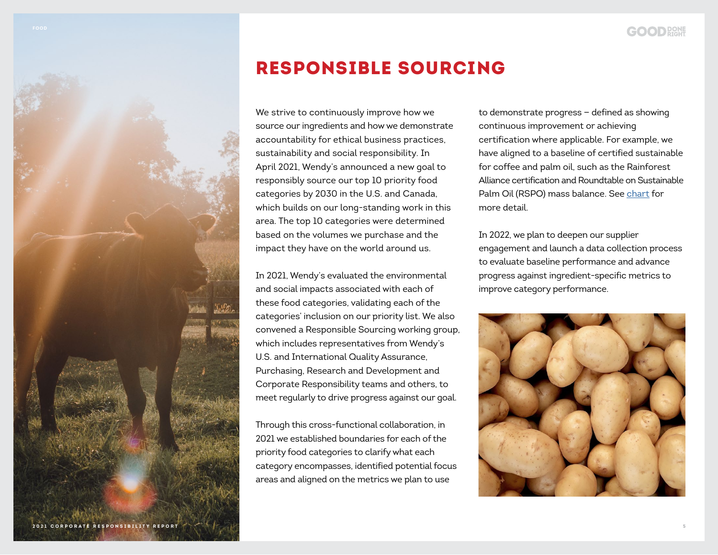### <span id="page-4-0"></span>RESPONSIBLE SOURCING

We strive to continuously improve how we source our ingredients and how we demonstrate accountability for ethical business practices, sustainability and social responsibility. In April 2021, Wendy's announced a new goal to responsibly source our top 10 priority food categories by 2030 in the U.S. and Canada, which builds on our long-standing work in this area. The top 10 categories were determined based on the volumes we purchase and the impact they have on the world around us.

In 2021, Wendy's evaluated the environmental and social impacts associated with each of these food categories, validating each of the categories' inclusion on our priority list. We also convened a Responsible Sourcing working group, which includes representatives from Wendy's U.S. and International Quality Assurance, Purchasing, Research and Development and Corporate Responsibility teams and others, to meet regularly to drive progress against our goal.

Through this cross-functional collaboration, in 2021 we established boundaries for each of the priority food categories to clarify what each category encompasses, identified potential focus areas and aligned on the metrics we plan to use

to demonstrate progress — defined as showing continuous improvement or achieving certification where applicable. For example, we have aligned to a baseline of certified sustainable for coffee and palm oil, such as the Rainforest Alliance certification and Roundtable on Sustainable Palm Oil (RSPO) mass balance. See [chart](#page-5-0) for more detail.

In 2022, we plan to deepen our supplier engagement and launch a data collection process to evaluate baseline performance and advance progress against ingredient-specific metrics to improve category performance.

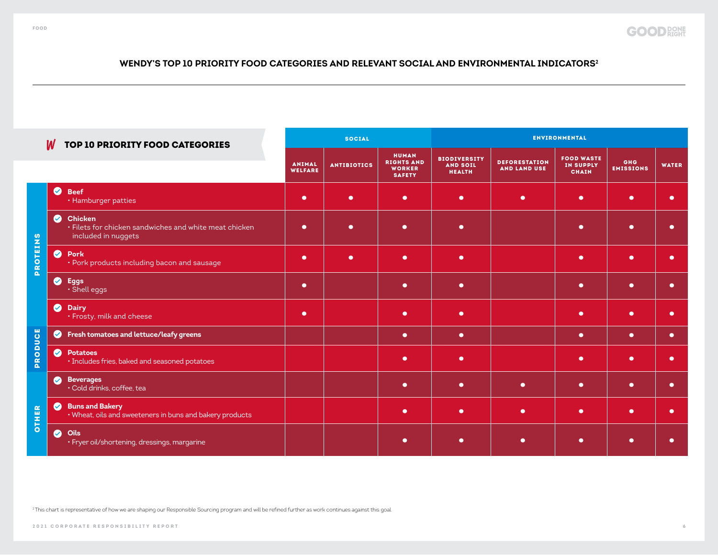### <span id="page-5-0"></span>**WENDY'S TOP 10 PRIORITY FOOD CATEGORIES AND RELEVANT SOCIAL AND ENVIRONMENTAL INDICATORS2**

|                                   | W         | TOP 10 PRIORITY FOOD CATEGORIES                                                                 | <b>SOCIAL</b>                   |                    |                                                                     | <b>ENVIRONMENTAL</b>                                    |                                             |                                                       |                                |              |
|-----------------------------------|-----------|-------------------------------------------------------------------------------------------------|---------------------------------|--------------------|---------------------------------------------------------------------|---------------------------------------------------------|---------------------------------------------|-------------------------------------------------------|--------------------------------|--------------|
|                                   |           |                                                                                                 | <b>ANIMAL</b><br><b>WELFARE</b> | <b>ANTIBIOTICS</b> | <b>HUMAN</b><br><b>RIGHTS AND</b><br><b>WORKER</b><br><b>SAFETY</b> | <b>BIODIVERSITY</b><br><b>AND SOIL</b><br><b>HEALTH</b> | <b>DEFORESTATION</b><br><b>AND LAND USE</b> | <b>FOOD WASTE</b><br><b>IN SUPPLY</b><br><b>CHAIN</b> | <b>GHG</b><br><b>EMISSIONS</b> | <b>WATER</b> |
|                                   | $\bullet$ | <b>Beef</b><br>• Hamburger patties                                                              | $\bullet$                       | $\bullet$          | $\bullet$                                                           | $\bullet$                                               | $\bullet$                                   | $\bullet$                                             | $\bullet$                      | ●            |
| ဖာ                                | $\bullet$ | <b>Chicken</b><br>· Filets for chicken sandwiches and white meat chicken<br>included in nuggets | $\bullet$                       | $\bullet$          | $\bullet$                                                           | $\bullet$                                               |                                             | $\bullet$                                             | $\bullet$                      | $\bullet$    |
| <b>NIBLO</b><br>œ<br><u>a</u>     | $\bullet$ | Pork<br>• Pork products including bacon and sausage                                             | $\bullet$                       | $\bullet$          | $\bullet$                                                           | $\bullet$                                               |                                             | $\bullet$                                             | $\bullet$                      | $\bullet$    |
|                                   | $\bullet$ | <b>Eggs</b><br>· Shell eggs                                                                     | $\bullet$                       |                    | $\bullet$                                                           | $\bullet$                                               |                                             | $\bullet$                                             | $\bullet$                      | $\bullet$    |
|                                   | $\bullet$ | <b>Dairy</b><br>· Frosty, milk and cheese                                                       | $\bullet$                       |                    | $\bullet$                                                           | $\bullet$                                               |                                             | $\bullet$                                             | $\bullet$                      | ●            |
| ဗိ                                | $\bullet$ | Fresh tomatoes and lettuce/leafy greens                                                         |                                 |                    | $\bullet$                                                           | $\bullet$                                               |                                             | $\bullet$                                             | $\bullet$                      | $\bullet$    |
| ⊃<br>O<br>$\frac{\alpha}{\alpha}$ | $\bullet$ | <b>Potatoes</b><br>· Includes fries, baked and seasoned potatoes                                |                                 |                    | $\bullet$                                                           | $\bullet$                                               |                                             | $\bullet$                                             | $\bullet$                      | $\bullet$    |
|                                   | $\bullet$ | <b>Beverages</b><br>· Cold drinks, coffee, tea                                                  |                                 |                    | $\bullet$                                                           | $\bullet$                                               | $\bullet$                                   | $\bullet$                                             | $\bullet$                      | $\bullet$    |
| œ<br>w<br>I                       | $\bullet$ | <b>Buns and Bakery</b><br>. Wheat, oils and sweeteners in buns and bakery products              |                                 |                    | $\bullet$                                                           | $\bullet$                                               | $\bullet$                                   | $\bullet$                                             | $\bullet$                      | $\bullet$    |
| <b>등</b>                          | $\bullet$ | Oils<br>· Fryer oil/shortening, dressings, margarine                                            |                                 |                    | $\bullet$                                                           | $\bullet$                                               | $\bullet$                                   | $\bullet$                                             | $\bullet$                      | ◠            |

<sup>2</sup> This chart is representative of how we are shaping our Responsible Sourcing program and will be refined further as work continues against this goal.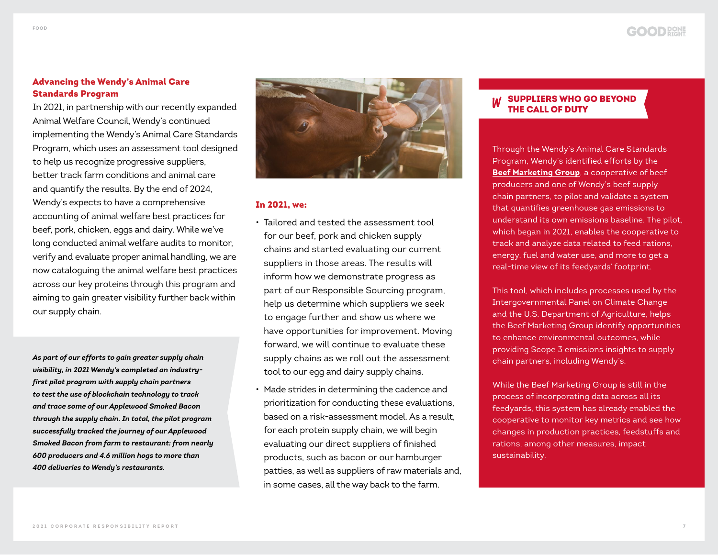### Advancing the Wendy's Animal Care Standards Program

In 2021, in partnership with our recently expanded Animal Welfare Council, Wendy's continued implementing the Wendy's Animal Care Standards Program, which uses an assessment tool designed to help us recognize progressive suppliers, better track farm conditions and animal care and quantify the results. By the end of 2024, Wendy's expects to have a comprehensive accounting of animal welfare best practices for beef, pork, chicken, eggs and dairy. While we've long conducted animal welfare audits to monitor, verify and evaluate proper animal handling, we are now cataloguing the animal welfare best practices across our key proteins through this program and aiming to gain greater visibility further back within our supply chain.

*As part of our efforts to gain greater supply chain visibility, in 2021 Wendy's completed an industryfirst pilot program with supply chain partners to test the use of blockchain technology to track and trace some of our Applewood Smoked Bacon through the supply chain. In total, the pilot program successfully tracked the journey of our Applewood Smoked Bacon from farm to restaurant: from nearly 600 producers and 4.6 million hogs to more than 400 deliveries to Wendy's restaurants.* 



### In 2021, we:

- Tailored and tested the assessment tool for our beef, pork and chicken supply chains and started evaluating our current suppliers in those areas. The results will inform how we demonstrate progress as part of our Responsible Sourcing program, help us determine which suppliers we seek to engage further and show us where we have opportunities for improvement. Moving forward, we will continue to evaluate these supply chains as we roll out the assessment tool to our egg and dairy supply chains.
- Made strides in determining the cadence and prioritization for conducting these evaluations, based on a risk-assessment model. As a result, for each protein supply chain, we will begin evaluating our direct suppliers of finished products, such as bacon or our hamburger patties, as well as suppliers of raw materials and, in some cases, all the way back to the farm.

### SUPPLIERS WHO GO BEYOND THE CALL OF DUTY

Through the Wendy's Animal Care Standards Program, Wendy's identified efforts by the **[Beef Marketing Group](https://www.beefmarketinggroup.com/)**, a cooperative of beef producers and one of Wendy's beef supply chain partners, to pilot and validate a system that quantifies greenhouse gas emissions to understand its own emissions baseline. The pilot, which began in 2021, enables the cooperative to track and analyze data related to feed rations, energy, fuel and water use, and more to get a real-time view of its feedyards' footprint.

This tool, which includes processes used by the Intergovernmental Panel on Climate Change and the U.S. Department of Agriculture, helps the Beef Marketing Group identify opportunities to enhance environmental outcomes, while providing Scope 3 emissions insights to supply chain partners, including Wendy's.

While the Beef Marketing Group is still in the process of incorporating data across all its feedyards, this system has already enabled the cooperative to monitor key metrics and see how changes in production practices, feedstuffs and rations, among other measures, impact sustainability.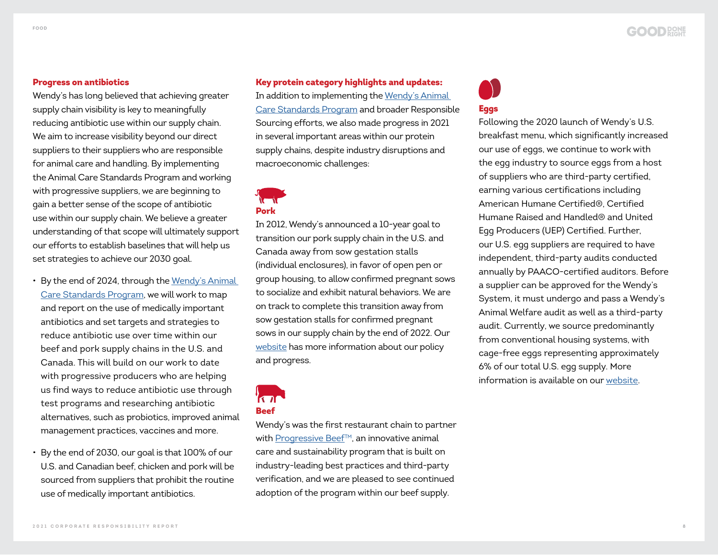### Progress on antibiotics

Wendy's has long believed that achieving greater supply chain visibility is key to meaningfully reducing antibiotic use within our supply chain. We aim to increase visibility beyond our direct suppliers to their suppliers who are responsible for animal care and handling. By implementing the Animal Care Standards Program and working with progressive suppliers, we are beginning to gain a better sense of the scope of antibiotic use within our supply chain. We believe a greater understanding of that scope will ultimately support our efforts to establish baselines that will help us set strategies to achieve our 2030 goal.

- By the end of 2024, through the Wendy's Animal [Care Standards Program](https://www.wendys.com/csr-what-we-value/food/responsible-sourcing/animal-welfare/animal-care-standards-program), we will work to map and report on the use of medically important antibiotics and set targets and strategies to reduce antibiotic use over time within our beef and pork supply chains in the U.S. and Canada. This will build on our work to date with progressive producers who are helping us find ways to reduce antibiotic use through test programs and researching antibiotic alternatives, such as probiotics, improved animal management practices, vaccines and more.
- By the end of 2030, our goal is that 100% of our U.S. and Canadian beef, chicken and pork will be sourced from suppliers that prohibit the routine use of medically important antibiotics.

Key protein category highlights and updates: In addition to implementing the [Wendy's Animal](https://www.wendys.com/csr-what-we-value/food/responsible-sourcing/animal-welfare/animal-care-standards-program)  [Care Standards Program](https://www.wendys.com/csr-what-we-value/food/responsible-sourcing/animal-welfare/animal-care-standards-program) and broader Responsible Sourcing efforts, we also made progress in 2021 in several important areas within our protein supply chains, despite industry disruptions and macroeconomic challenges:

Pork

In 2012, Wendy's announced a 10-year goal to transition our pork supply chain in the U.S. and Canada away from sow gestation stalls (individual enclosures), in favor of open pen or group housing, to allow confirmed pregnant sows to socialize and exhibit natural behaviors. We are on track to complete this transition away from sow gestation stalls for confirmed pregnant sows in our supply chain by the end of 2022. Our [website](https://www.wendys.com/csr-what-we-value/food/responsible-sourcing/pork/gestation-stall-policy) has more information about our policy and progress.

 $\sqrt{10}$ Beef

Wendy's was the first restaurant chain to partner with [Progressive Beef](https://www.wendys.com/csr-what-we-value/food/responsible-sourcing/beef)™, an innovative animal care and sustainability program that is built on industry-leading best practices and third-party verification, and we are pleased to see continued adoption of the program within our beef supply.

# Eggs

Following the 2020 launch of Wendy's U.S. breakfast menu, which significantly increased our use of eggs, we continue to work with the egg industry to source eggs from a host of suppliers who are third-party certified, earning various certifications including American Humane Certified®, Certified Humane Raised and Handled® and United Egg Producers (UEP) Certified. Further, our U.S. egg suppliers are required to have independent, third-party audits conducted annually by PAACO-certified auditors. Before a supplier can be approved for the Wendy's System, it must undergo and pass a Wendy's Animal Welfare audit as well as a third-party audit. Currently, we source predominantly from conventional housing systems, with cage-free eggs representing approximately 6% of our total U.S. egg supply. More information is available on our [website.](https://www.wendys.com/csr-what-we-value/food/responsible-sourcing/eggs)